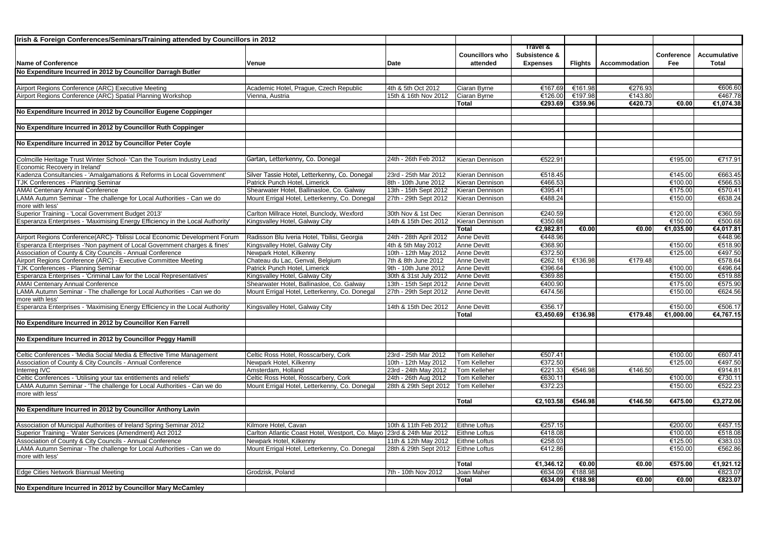| Irish & Foreign Conferences/Seminars/Training attended by Councillors in 2012 |                                                                       |                                              |                              |                    |         |               |                    |                    |
|-------------------------------------------------------------------------------|-----------------------------------------------------------------------|----------------------------------------------|------------------------------|--------------------|---------|---------------|--------------------|--------------------|
|                                                                               |                                                                       |                                              |                              | Travel &           |         |               |                    |                    |
|                                                                               |                                                                       |                                              | <b>Councillors who</b>       | Subsistence &      |         |               | Conference         | Accumulative       |
| <b>Name of Conference</b>                                                     | Venue                                                                 | Date                                         | attended                     | <b>Expenses</b>    | Flights | Accommodation | Fee                | <b>Total</b>       |
| No Expenditure Incurred in 2012 by Councillor Darragh Butler                  |                                                                       |                                              |                              |                    |         |               |                    |                    |
|                                                                               |                                                                       |                                              |                              |                    |         |               |                    |                    |
| Airport Regions Conference (ARC) Executive Meeting                            | Academic Hotel, Praque, Czech Republic                                | 4th & 5th Oct 2012                           | Ciaran Byrne                 | €167.69            | €161.98 | €276.93       |                    | €606.60            |
| Airport Regions Conference (ARC) Spatial Planning Workshop                    | Vienna, Austria                                                       | 15th & 16th Nov 2012                         | Ciaran Byrne                 | €126.00            | €197.98 | €143.80       |                    | €467.78            |
|                                                                               |                                                                       |                                              | Total                        | €293.69            | €359.96 | €420.73       | €0.00              | €1,074.38          |
| No Expenditure Incurred in 2012 by Councillor Eugene Coppinger                |                                                                       |                                              |                              |                    |         |               |                    |                    |
|                                                                               |                                                                       |                                              |                              |                    |         |               |                    |                    |
| No Expenditure Incurred in 2012 by Councillor Ruth Coppinger                  |                                                                       |                                              |                              |                    |         |               |                    |                    |
|                                                                               |                                                                       |                                              |                              |                    |         |               |                    |                    |
| No Expenditure Incurred in 2012 by Councillor Peter Coyle                     |                                                                       |                                              |                              |                    |         |               |                    |                    |
| Colmcille Heritage Trust Winter School- 'Can the Tourism Industry Lead        | Gartan, Letterkenny, Co. Donegal                                      | 24th - 26th Feb 2012                         | Kieran Dennison              | €522.91            |         |               | €195.00            | €717.91            |
| Economic Recovery in Ireland'                                                 |                                                                       |                                              |                              |                    |         |               |                    |                    |
| Kadenza Consultancies - 'Amalgamations & Reforms in Local Government'         | Silver Tassie Hotel, Letterkenny, Co. Donegal                         | 23rd - 25th Mar 2012                         | Kieran Dennison              | €518.45            |         |               | €145.00            | €663.45            |
| TJK Conferences - Planning Seminar                                            | Patrick Punch Hotel, Limerick                                         | 8th - 10th June 2012                         | Kieran Dennison              | €466.53            |         |               | €100.00            | €566.53            |
| <b>AMAI Centenary Annual Conference</b>                                       | Shearwater Hotel, Ballinasloe, Co. Galway                             | 13th - 15th Sept 2012                        | Kieran Dennison              | €395.41            |         |               | €175.00            | €570.41            |
| LAMA Autumn Seminar - The challenge for Local Authorities - Can we do         | Mount Errigal Hotel, Letterkenny, Co. Donegal                         | 27th - 29th Sept 2012                        | Kieran Dennison              | €488.24            |         |               | €150.00            | €638.24            |
| more with less'                                                               |                                                                       |                                              |                              |                    |         |               |                    |                    |
| Superior Training - 'Local Government Budget 2013'                            | Carlton Millrace Hotel, Bunclody, Wexford                             | 30th Nov & 1st Dec                           | Kieran Dennison              | €240.59            |         |               | €120.00            | €360.59            |
| Esperanza Enterprises - 'Maximising Energy Efficiency in the Local Authority' | Kingsvalley Hotel, Galway City                                        | 14th & 15th Dec 2012                         | Kieran Dennison              | €350.68            |         |               | €150.00            | €500.68            |
|                                                                               |                                                                       |                                              | Total                        | €2,982.81          | €0.00   | €0.00         | €1,035.00          | €4,017.81          |
| Airport Regions Conference(ARC)- Tblissi Local Economic Development Forum     | Radisson Blu Iveria Hotel, Tbilisi, Georgia                           | 24th - 28th April 2012                       | <b>Anne Devitt</b>           | €448.96            |         |               |                    | €448.96            |
| Esperanza Enterprises -'Non payment of Local Government charges & fines'      | Kingsvalley Hotel, Galway City                                        | 4th & 5th May 2012                           | <b>Anne Devitt</b>           | €368.90            |         |               | €150.00            | €518.90            |
| Association of County & City Councils - Annual Conference                     | Newpark Hotel, Kilkenny                                               | 10th - 12th May 2012                         | Anne Devitt                  | €372.50            |         |               | €125.00            | €497.50            |
| Airport Regions Conference (ARC) - Executive Committee Meeting                | Chateau du Lac, Genval, Belgium                                       | 7th & 8th June 2012                          | <b>Anne Devitt</b>           | €262.18            | €136.98 | €179.48       |                    | €578.64            |
| <b>TJK Conferences - Planning Seminar</b>                                     | Patrick Punch Hotel, Limerick                                         | 9th - 10th June 2012                         | Anne Devitt                  | €396.64            |         |               | €100.00            | €496.64            |
| Esperanza Enterprises - 'Criminal Law for the Local Representatives'          | Kingsvalley Hotel, Galway City                                        | 30th & 31st July 2012                        | <b>Anne Devitt</b>           | €369.88            |         |               | €150.00            | €519.88            |
| <b>AMAI Centenary Annual Conference</b>                                       | Shearwater Hotel, Ballinasloe, Co. Galway                             | 13th - 15th Sept 2012                        | Anne Devitt                  | €400.90            |         |               | €175.00            | €575.90            |
| LAMA Autumn Seminar - The challenge for Local Authorities - Can we do         | Mount Errigal Hotel, Letterkenny, Co. Donegal                         | 27th - 29th Sept 2012                        | <b>Anne Devitt</b>           | €474.56            |         |               | €150.00            | €624.56            |
| more with less'                                                               |                                                                       |                                              |                              |                    |         |               |                    |                    |
| Esperanza Enterprises - 'Maximising Energy Efficiency in the Local Authority' | Kingsvalley Hotel, Galway City                                        | 14th & 15th Dec 2012                         | <b>Anne Devitt</b>           | €356.17            |         |               | €150.00            | €506.17            |
|                                                                               |                                                                       |                                              | Total                        | €3,450.69          | €136.98 | €179.48       | €1,000.00          | €4,767.15          |
| No Expenditure Incurred in 2012 by Councillor Ken Farrell                     |                                                                       |                                              |                              |                    |         |               |                    |                    |
|                                                                               |                                                                       |                                              |                              |                    |         |               |                    |                    |
| No Expenditure Incurred in 2012 by Councillor Peggy Hamill                    |                                                                       |                                              |                              |                    |         |               |                    |                    |
|                                                                               |                                                                       |                                              |                              |                    |         |               |                    |                    |
| Celtic Conferences - 'Media Social Media & Effective Time Management          | Celtic Ross Hotel, Rosscarbery, Cork                                  | 23rd - 25th Mar 2012                         | Tom Kelleher                 | €507.41            |         |               | €100.00            | €607.41            |
| Association of County & City Councils - Annual Conference<br>nterrea IVC      | Newpark Hotel, Kilkenny<br>Amsterdam, Holland                         | 10th - 12th May 2012                         | Tom Kelleher                 | €372.50<br>€221.33 |         |               | €125.00            | €497.50<br>€914.81 |
| Celtic Conferences - 'Utilising your tax entitlements and reliefs'            | Celtic Ross Hotel, Rosscarbery, Cork                                  | 23rd - 24th May 2012<br>24th - 26th Aug 2012 | Tom Kelleher<br>Tom Kelleher | €630.11            | €546.98 | €146.50       | €100.00            | €730.11            |
| AMA Autumn Seminar - 'The challenge for Local Authorities - Can we do         | Mount Errigal Hotel, Letterkenny, Co. Donegal                         | 28th & 29th Sept 2012                        | Tom Kelleher                 | €372.23            |         |               | €150.00            | €522.23            |
| more with less'                                                               |                                                                       |                                              |                              |                    |         |               |                    |                    |
|                                                                               |                                                                       |                                              | <b>Total</b>                 | €2.103.58          | €546.98 | €146.50       | €475.00            | €3,272.06          |
| No Expenditure Incurred in 2012 by Councillor Anthony Lavin                   |                                                                       |                                              |                              |                    |         |               |                    |                    |
|                                                                               |                                                                       |                                              |                              |                    |         |               |                    |                    |
| Association of Municipal Authorities of Ireland Spring Seminar 2012           | Kilmore Hotel, Cavan                                                  | 10th & 11th Feb 2012                         | <b>Eithne Loftus</b>         | €257.15            |         |               | €200.00            | €457.15            |
| Superior Training - 'Water Services (Amendment) Act 2012                      | Carlton Atlantic Coast Hotel, Westport, Co. Mayo 23rd & 24th Mar 2012 |                                              | <b>Eithne Loftus</b>         | €418.08            |         |               | €100.00            | €518.08            |
| Association of County & City Councils - Annual Conference                     | Newpark Hotel, Kilkenny                                               | 11th & 12th May 2012                         | <b>Eithne Loftus</b>         | €258.03            |         |               | €125.00            | €383.03            |
| LAMA Autumn Seminar - The challenge for Local Authorities - Can we do         | Mount Errigal Hotel, Letterkenny, Co. Donegal                         | 28th & 29th Sept 2012                        | <b>Eithne Loftus</b>         | €412.86            |         |               | €150.00            | €562.86            |
| more with less'                                                               |                                                                       |                                              |                              |                    |         |               |                    |                    |
|                                                                               |                                                                       |                                              | <b>Total</b>                 | €1,346.12          | €0.00   | €0.00         | €575.00            | €1,921.12          |
| Edge Cities Network Biannual Meeting                                          | Grodzisk, Poland                                                      | 7th - 10th Nov 2012                          | Joan Maher                   | €634.09            | €188.98 |               |                    | €823.07            |
|                                                                               |                                                                       |                                              | <b>Total</b>                 | €634.09            | €188.98 | €0.00         | $\overline{60.00}$ | €823.07            |
| No Expenditure Incurred in 2012 by Councillor Mary McCamley                   |                                                                       |                                              |                              |                    |         |               |                    |                    |